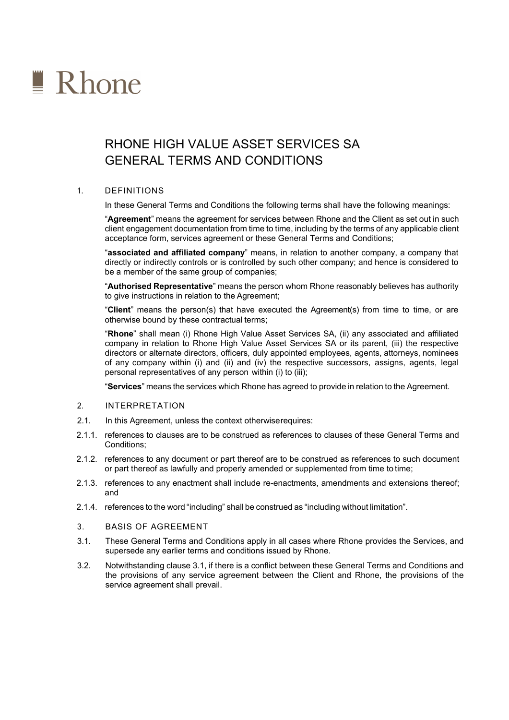# $\blacksquare$  Rhone

# RHONE HIGH VALUE ASSET SERVICES SA GENERAL TERMS AND CONDITIONS

# 1. DEFINITIONS

In these General Terms and Conditions the following terms shall have the following meanings:

"**Agreement**" means the agreement for services between Rhone and the Client as set out in such client engagement documentation from time to time, including by the terms of any applicable client acceptance form, services agreement or these General Terms and Conditions;

"**associated and affiliated company**" means, in relation to another company, a company that directly or indirectly controls or is controlled by such other company; and hence is considered to be a member of the same group of companies;

"**Authorised Representative**" means the person whom Rhone reasonably believes has authority to give instructions in relation to the Agreement;

"**Client**" means the person(s) that have executed the Agreement(s) from time to time, or are otherwise bound by these contractual terms;

"**Rhone**" shall mean (i) Rhone High Value Asset Services SA, (ii) any associated and affiliated company in relation to Rhone High Value Asset Services SA or its parent, (iii) the respective directors or alternate directors, officers, duly appointed employees, agents, attorneys, nominees of any company within (i) and (ii) and (iv) the respective successors, assigns, agents, legal personal representatives of any person within (i) to (iii);

"**Services**" means the services which Rhone has agreed to provide in relation to the Agreement.

#### 2. INTERPRETATION

- 2.1. In this Agreement, unless the context otherwise requires:
- 2.1.1. references to clauses are to be construed as references to clauses of these General Terms and Conditions;
- 2.1.2. references to any document or part thereof are to be construed as references to such document or part thereof as lawfully and properly amended or supplemented from time to time;
- 2.1.3. references to any enactment shall include re-enactments, amendments and extensions thereof; and
- 2.1.4. references to the word "including" shall be construed as "including without limitation".
- 3. BASIS OF AGREEMENT
- 3.1. These General Terms and Conditions apply in all cases where Rhone provides the Services, and supersede any earlier terms and conditions issued by Rhone.
- 3.2. Notwithstanding clause 3.1, if there is a conflict between these General Terms and Conditions and the provisions of any service agreement between the Client and Rhone, the provisions of the service agreement shall prevail.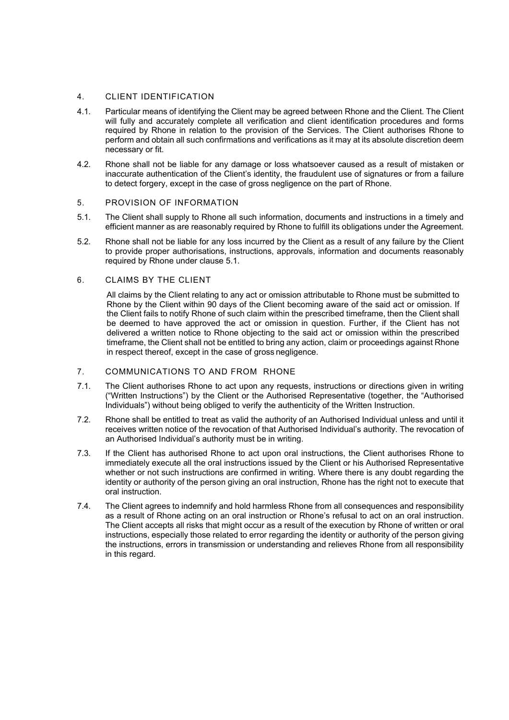# 4. CLIENT IDENTIFICATION

- 4.1. Particular means of identifying the Client may be agreed between Rhone and the Client. The Client will fully and accurately complete all verification and client identification procedures and forms required by Rhone in relation to the provision of the Services. The Client authorises Rhone to perform and obtain all such confirmations and verifications as it may at its absolute discretion deem necessary or fit.
- 4.2. Rhone shall not be liable for any damage or loss whatsoever caused as a result of mistaken or inaccurate authentication of the Client's identity, the fraudulent use of signatures or from a failure to detect forgery, except in the case of gross negligence on the part of Rhone.

# 5. PROVISION OF INFORMATION

- 5.1. The Client shall supply to Rhone all such information, documents and instructions in a timely and efficient manner as are reasonably required by Rhone to fulfill its obligations under the Agreement.
- 5.2. Rhone shall not be liable for any loss incurred by the Client as a result of any failure by the Client to provide proper authorisations, instructions, approvals, information and documents reasonably required by Rhone under clause 5.1.

# 6. CLAIMS BY THE CLIENT

All claims by the Client relating to any act or omission attributable to Rhone must be submitted to Rhone by the Client within 90 days of the Client becoming aware of the said act or omission. If the Client fails to notify Rhone of such claim within the prescribed timeframe, then the Client shall be deemed to have approved the act or omission in question. Further, if the Client has not delivered a written notice to Rhone objecting to the said act or omission within the prescribed timeframe, the Client shall not be entitled to bring any action, claim or proceedings against Rhone in respect thereof, except in the case of gross negligence.

# 7. COMMUNICATIONS TO AND FROM RHONE

- 7.1. The Client authorises Rhone to act upon any requests, instructions or directions given in writing ("Written Instructions") by the Client or the Authorised Representative (together, the "Authorised Individuals") without being obliged to verify the authenticity of the Written Instruction.
- 7.2. Rhone shall be entitled to treat as valid the authority of an Authorised Individual unless and until it receives written notice of the revocation of that Authorised Individual's authority. The revocation of an Authorised Individual's authority must be in writing.
- 7.3. If the Client has authorised Rhone to act upon oral instructions, the Client authorises Rhone to immediately execute all the oral instructions issued by the Client or his Authorised Representative whether or not such instructions are confirmed in writing. Where there is any doubt regarding the identity or authority of the person giving an oral instruction, Rhone has the right not to execute that oral instruction.
- 7.4. The Client agrees to indemnify and hold harmless Rhone from all consequences and responsibility as a result of Rhone acting on an oral instruction or Rhone's refusal to act on an oral instruction. The Client accepts all risks that might occur as a result of the execution by Rhone of written or oral instructions, especially those related to error regarding the identity or authority of the person giving the instructions, errors in transmission or understanding and relieves Rhone from all responsibility in this regard.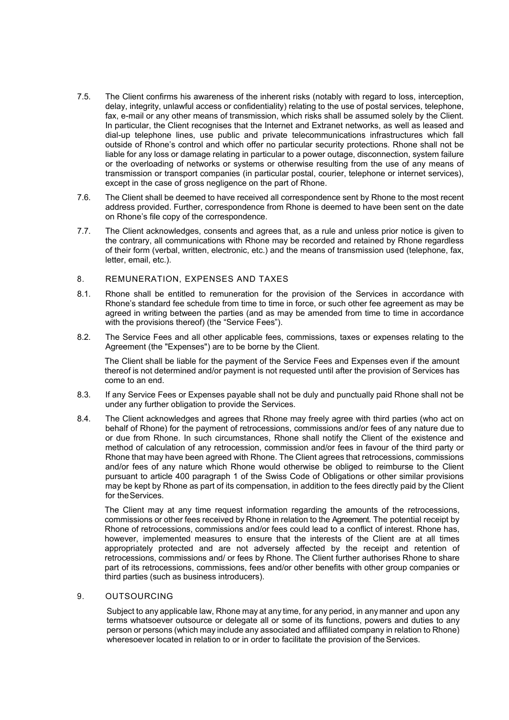- 7.5. The Client confirms his awareness of the inherent risks (notably with regard to loss, interception, delay, integrity, unlawful access or confidentiality) relating to the use of postal services, telephone, fax, e-mail or any other means of transmission, which risks shall be assumed solely by the Client. In particular, the Client recognises that the Internet and Extranet networks, as well as leased and dial-up telephone lines, use public and private telecommunications infrastructures which fall outside of Rhone's control and which offer no particular security protections. Rhone shall not be liable for any loss or damage relating in particular to a power outage, disconnection, system failure or the overloading of networks or systems or otherwise resulting from the use of any means of transmission or transport companies (in particular postal, courier, telephone or internet services), except in the case of gross negligence on the part of Rhone.
- 7.6. The Client shall be deemed to have received all correspondence sent by Rhone to the most recent address provided. Further, correspondence from Rhone is deemed to have been sent on the date on Rhone's file copy of the correspondence.
- 7.7. The Client acknowledges, consents and agrees that, as a rule and unless prior notice is given to the contrary, all communications with Rhone may be recorded and retained by Rhone regardless of their form (verbal, written, electronic, etc.) and the means of transmission used (telephone, fax, letter, email, etc.).

## 8. REMUNERATION, EXPENSES AND TAXES

- 8.1. Rhone shall be entitled to remuneration for the provision of the Services in accordance with Rhone's standard fee schedule from time to time in force, or such other fee agreement as may be agreed in writing between the parties (and as may be amended from time to time in accordance with the provisions thereof) (the "Service Fees").
- 8.2. The Service Fees and all other applicable fees, commissions, taxes or expenses relating to the Agreement (the "Expenses") are to be borne by the Client.

The Client shall be liable for the payment of the Service Fees and Expenses even if the amount thereof is not determined and/or payment is not requested until after the provision of Services has come to an end.

- 8.3. If any Service Fees or Expenses payable shall not be duly and punctually paid Rhone shall not be under any further obligation to provide the Services.
- 8.4. The Client acknowledges and agrees that Rhone may freely agree with third parties (who act on behalf of Rhone) for the payment of retrocessions, commissions and/or fees of any nature due to or due from Rhone. In such circumstances, Rhone shall notify the Client of the existence and method of calculation of any retrocession, commission and/or fees in favour of the third party or Rhone that may have been agreed with Rhone. The Client agrees that retrocessions, commissions and/or fees of any nature which Rhone would otherwise be obliged to reimburse to the Client pursuant to article 400 paragraph 1 of the Swiss Code of Obligations or other similar provisions may be kept by Rhone as part of its compensation, in addition to the fees directly paid by the Client for the Services.

The Client may at any time request information regarding the amounts of the retrocessions, commissions or other fees received by Rhone in relation to the Agreement. The potential receipt by Rhone of retrocessions, commissions and/or fees could lead to a conflict of interest. Rhone has, however, implemented measures to ensure that the interests of the Client are at all times appropriately protected and are not adversely affected by the receipt and retention of retrocessions, commissions and/ or fees by Rhone. The Client further authorises Rhone to share part of its retrocessions, commissions, fees and/or other benefits with other group companies or third parties (such as business introducers).

# 9. OUTSOURCING

Subject to any applicable law, Rhone may at any time, for any period, in any manner and upon any terms whatsoever outsource or delegate all or some of its functions, powers and duties to any person or persons (which may include any associated and affiliated company in relation to Rhone) wheresoever located in relation to or in order to facilitate the provision of the Services.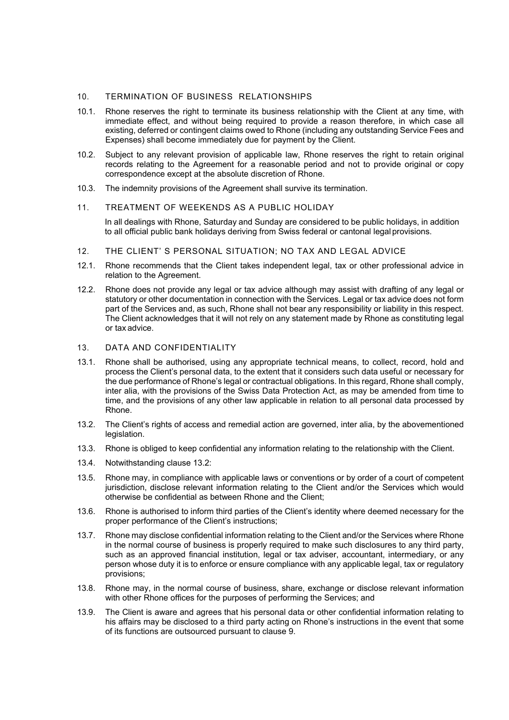#### 10. TERMINATION OF BUSINESS RELATIONSHIPS

- 10.1. Rhone reserves the right to terminate its business relationship with the Client at any time, with immediate effect, and without being required to provide a reason therefore, in which case all existing, deferred or contingent claims owed to Rhone (including any outstanding Service Fees and Expenses) shall become immediately due for payment by the Client.
- 10.2. Subject to any relevant provision of applicable law, Rhone reserves the right to retain original records relating to the Agreement for a reasonable period and not to provide original or copy correspondence except at the absolute discretion of Rhone.
- 10.3. The indemnity provisions of the Agreement shall survive its termination.

#### 11. TREATMENT OF WEEKENDS AS A PUBLIC HOLIDAY

In all dealings with Rhone, Saturday and Sunday are considered to be public holidays, in addition to all official public bank holidays deriving from Swiss federal or cantonal legal provisions.

#### 12. THE CLIENT' S PERSONAL SITUATION; NO TAX AND LEGAL ADVICE

- 12.1. Rhone recommends that the Client takes independent legal, tax or other professional advice in relation to the Agreement.
- 12.2. Rhone does not provide any legal or tax advice although may assist with drafting of any legal or statutory or other documentation in connection with the Services. Legal or tax advice does not form part of the Services and, as such, Rhone shall not bear any responsibility or liability in this respect. The Client acknowledges that it will not rely on any statement made by Rhone as constituting legal or tax advice.

#### 13. DATA AND CONFIDENTIALITY

- 13.1. Rhone shall be authorised, using any appropriate technical means, to collect, record, hold and process the Client's personal data, to the extent that it considers such data useful or necessary for the due performance of Rhone's legal or contractual obligations. In this regard, Rhone shall comply, inter alia, with the provisions of the Swiss Data Protection Act, as may be amended from time to time, and the provisions of any other law applicable in relation to all personal data processed by Rhone.
- 13.2. The Client's rights of access and remedial action are governed, inter alia, by the abovementioned legislation.
- 13.3. Rhone is obliged to keep confidential any information relating to the relationship with the Client.
- 13.4. Notwithstanding clause 13.2:
- 13.5. Rhone may, in compliance with applicable laws or conventions or by order of a court of competent jurisdiction, disclose relevant information relating to the Client and/or the Services which would otherwise be confidential as between Rhone and the Client;
- 13.6. Rhone is authorised to inform third parties of the Client's identity where deemed necessary for the proper performance of the Client's instructions;
- 13.7. Rhone may disclose confidential information relating to the Client and/or the Services where Rhone in the normal course of business is properly required to make such disclosures to any third party, such as an approved financial institution, legal or tax adviser, accountant, intermediary, or any person whose duty it is to enforce or ensure compliance with any applicable legal, tax or regulatory provisions;
- 13.8. Rhone may, in the normal course of business, share, exchange or disclose relevant information with other Rhone offices for the purposes of performing the Services; and
- 13.9. The Client is aware and agrees that his personal data or other confidential information relating to his affairs may be disclosed to a third party acting on Rhone's instructions in the event that some of its functions are outsourced pursuant to clause 9.